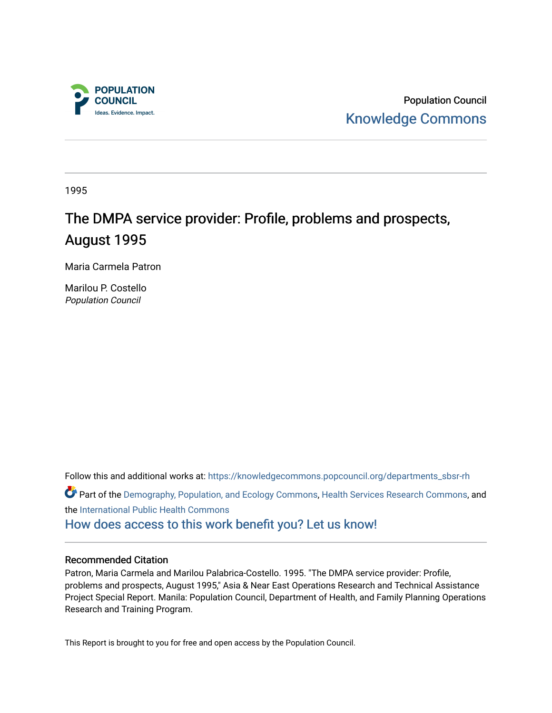

Population Council [Knowledge Commons](https://knowledgecommons.popcouncil.org/) 

1995

# The DMPA service provider: Profile, problems and prospects, August 1995

Maria Carmela Patron

Marilou P. Costello Population Council

Follow this and additional works at: [https://knowledgecommons.popcouncil.org/departments\\_sbsr-rh](https://knowledgecommons.popcouncil.org/departments_sbsr-rh?utm_source=knowledgecommons.popcouncil.org%2Fdepartments_sbsr-rh%2F2089&utm_medium=PDF&utm_campaign=PDFCoverPages) 

Part of the [Demography, Population, and Ecology Commons,](https://network.bepress.com/hgg/discipline/418?utm_source=knowledgecommons.popcouncil.org%2Fdepartments_sbsr-rh%2F2089&utm_medium=PDF&utm_campaign=PDFCoverPages) [Health Services Research Commons,](https://network.bepress.com/hgg/discipline/816?utm_source=knowledgecommons.popcouncil.org%2Fdepartments_sbsr-rh%2F2089&utm_medium=PDF&utm_campaign=PDFCoverPages) and the [International Public Health Commons](https://network.bepress.com/hgg/discipline/746?utm_source=knowledgecommons.popcouncil.org%2Fdepartments_sbsr-rh%2F2089&utm_medium=PDF&utm_campaign=PDFCoverPages) 

[How does access to this work benefit you? Let us know!](https://pcouncil.wufoo.com/forms/open-access-to-population-council-research/)

#### Recommended Citation

Patron, Maria Carmela and Marilou Palabrica-Costello. 1995. "The DMPA service provider: Profile, problems and prospects, August 1995," Asia & Near East Operations Research and Technical Assistance Project Special Report. Manila: Population Council, Department of Health, and Family Planning Operations Research and Training Program.

This Report is brought to you for free and open access by the Population Council.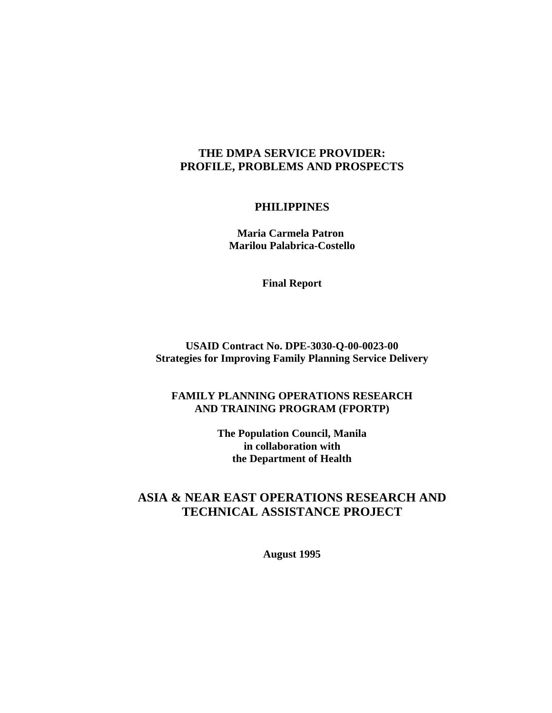# **THE DMPA SERVICE PROVIDER: PROFILE, PROBLEMS AND PROSPECTS**

## **PHILIPPINES**

 **Maria Carmela Patron Marilou Palabrica-Costello**

**Final Report**

# **USAID Contract No. DPE-3030-Q-00-0023-00 Strategies for Improving Family Planning Service Delivery**

# **FAMILY PLANNING OPERATIONS RESEARCH AND TRAINING PROGRAM (FPORTP)**

**The Population Council, Manila in collaboration with the Department of Health**

# **ASIA & NEAR EAST OPERATIONS RESEARCH AND TECHNICAL ASSISTANCE PROJECT**

**August 1995**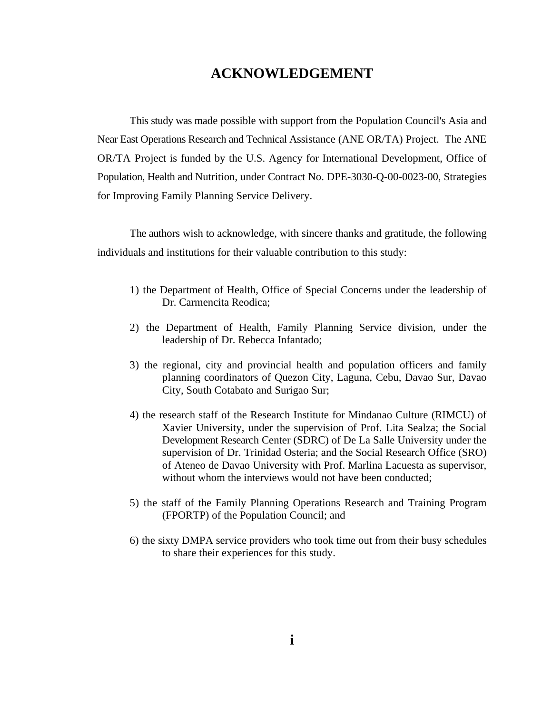# **ACKNOWLEDGEMENT**

This study was made possible with support from the Population Council's Asia and Near East Operations Research and Technical Assistance (ANE OR/TA) Project. The ANE OR/TA Project is funded by the U.S. Agency for International Development, Office of Population, Health and Nutrition, under Contract No. DPE-3030-Q-00-0023-00, Strategies for Improving Family Planning Service Delivery.

The authors wish to acknowledge, with sincere thanks and gratitude, the following individuals and institutions for their valuable contribution to this study:

- 1) the Department of Health, Office of Special Concerns under the leadership of Dr. Carmencita Reodica;
- 2) the Department of Health, Family Planning Service division, under the leadership of Dr. Rebecca Infantado;
- 3) the regional, city and provincial health and population officers and family planning coordinators of Quezon City, Laguna, Cebu, Davao Sur, Davao City, South Cotabato and Surigao Sur;
- 4) the research staff of the Research Institute for Mindanao Culture (RIMCU) of Xavier University, under the supervision of Prof. Lita Sealza; the Social Development Research Center (SDRC) of De La Salle University under the supervision of Dr. Trinidad Osteria; and the Social Research Office (SRO) of Ateneo de Davao University with Prof. Marlina Lacuesta as supervisor, without whom the interviews would not have been conducted:
- 5) the staff of the Family Planning Operations Research and Training Program (FPORTP) of the Population Council; and
- 6) the sixty DMPA service providers who took time out from their busy schedules to share their experiences for this study.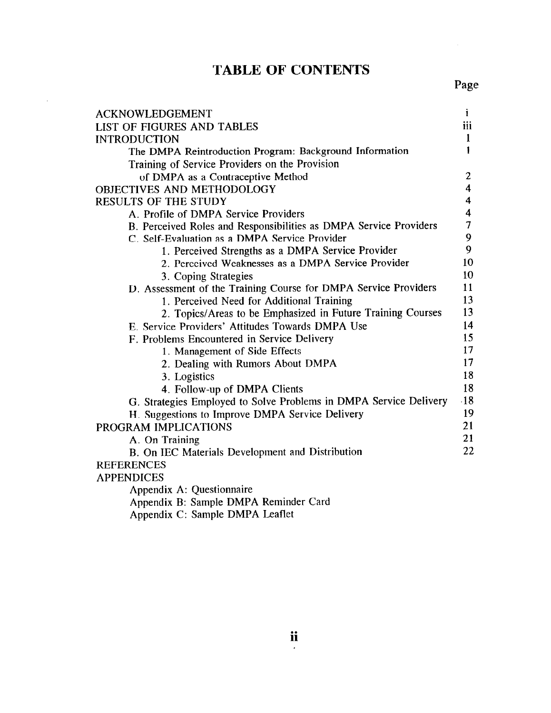# **TABLE OF CONTENTS**

| <b>ACKNOWLEDGEMENT</b>                                            | Ť                        |
|-------------------------------------------------------------------|--------------------------|
| <b>LIST OF FIGURES AND TABLES</b>                                 | iii                      |
| <b>INTRODUCTION</b>                                               | $\mathbf{1}$             |
| The DMPA Reintroduction Program: Background Information           | 1                        |
| Training of Service Providers on the Provision                    |                          |
| of DMPA as a Contraceptive Method                                 | $\boldsymbol{2}$         |
| OBJECTIVES AND METHODOLOGY                                        | $\overline{\mathbf{4}}$  |
| <b>RESULTS OF THE STUDY</b>                                       | 4                        |
| A. Profile of DMPA Service Providers                              | $\overline{\mathbf{4}}$  |
| B. Perceived Roles and Responsibilities as DMPA Service Providers | $\overline{\mathcal{L}}$ |
| C. Self-Evaluation as a DMPA Service Provider                     | 9                        |
| 1. Perceived Strengths as a DMPA Service Provider                 | 9                        |
| 2. Perceived Weaknesses as a DMPA Service Provider                | 10                       |
| 3. Coping Strategies                                              | 10                       |
| D. Assessment of the Training Course for DMPA Service Providers   | 11                       |
| 1. Perceived Need for Additional Training                         | 13                       |
| 2. Topics/Areas to be Emphasized in Future Training Courses       | 13                       |
| E. Service Providers' Attitudes Towards DMPA Use                  | 14                       |
| F. Problems Encountered in Service Delivery                       | 15                       |
| 1. Management of Side Effects                                     | 17                       |
| 2. Dealing with Rumors About DMPA                                 | 17                       |
| 3. Logistics                                                      | 18                       |
| 4. Follow-up of DMPA Clients                                      | 18                       |
| G. Strategies Employed to Solve Problems in DMPA Service Delivery | $-18$                    |
| H. Suggestions to Improve DMPA Service Delivery                   | 19                       |
| PROGRAM IMPLICATIONS                                              | 21                       |
| A. On Training                                                    | 21                       |
| B. On IEC Materials Development and Distribution                  | 22                       |
| <b>REFERENCES</b>                                                 |                          |
| <b>APPENDICES</b>                                                 |                          |
| Appendix A: Questionnaire                                         |                          |
| Appendix B: Sample DMPA Reminder Card                             |                          |
|                                                                   |                          |

Appendix C: Sample DMPA Leaflet

 $\mathcal{A}$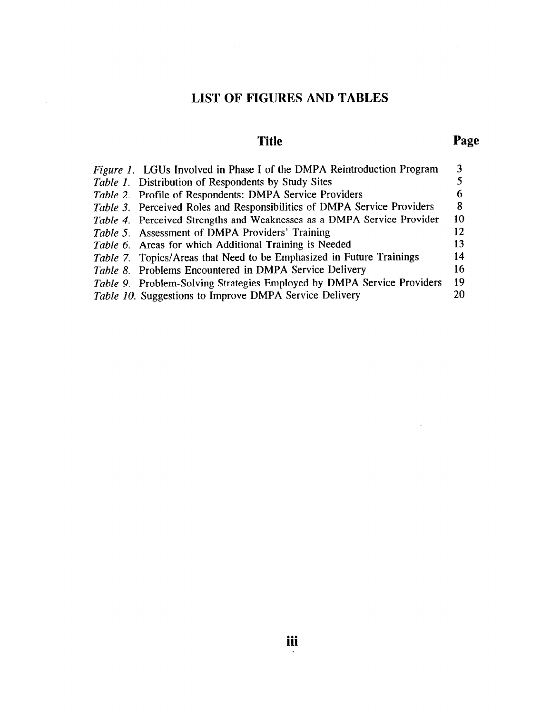# **LIST OF FIGURES AND TABLES**

 $\sim$ 

# **Title Page**

 $\sim 10^{-11}$ 

 $\sim$ 

| Figure 1. LGUs Involved in Phase I of the DMPA Reintroduction Program          |    |
|--------------------------------------------------------------------------------|----|
| <i>Table 1.</i> Distribution of Respondents by Study Sites                     |    |
| Table 2. Profile of Respondents: DMPA Service Providers                        |    |
| <i>Table 3.</i> Perceived Roles and Responsibilities of DMPA Service Providers | 8  |
| Table 4. Perceived Strengths and Weaknesses as a DMPA Service Provider         | 10 |
| <i>Table 5.</i> Assessment of DMPA Providers' Training                         | 12 |
| Table 6. Areas for which Additional Training is Needed                         | 13 |
| Table 7. Topics/Areas that Need to be Emphasized in Future Trainings           | 14 |
| Table 8. Problems Encountered in DMPA Service Delivery                         | 16 |
| Table 9. Problem-Solving Strategies Employed by DMPA Service Providers         | 19 |
| Table 10. Suggestions to Improve DMPA Service Delivery                         |    |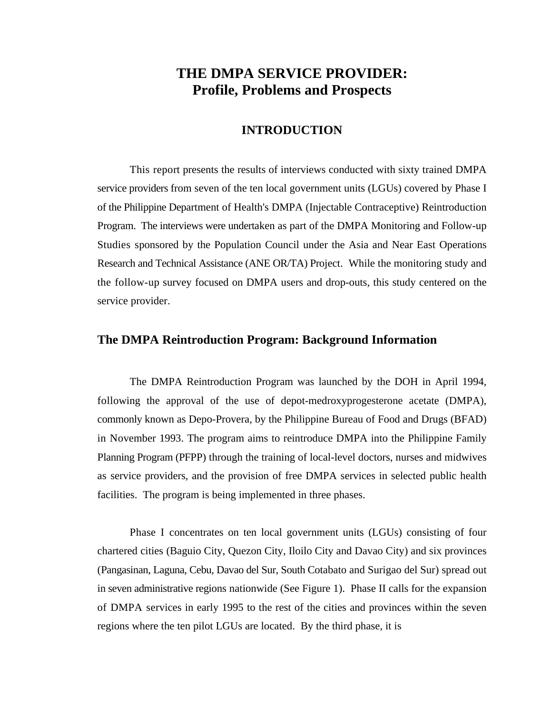# **THE DMPA SERVICE PROVIDER: Profile, Problems and Prospects**

# **INTRODUCTION**

This report presents the results of interviews conducted with sixty trained DMPA service providers from seven of the ten local government units (LGUs) covered by Phase I of the Philippine Department of Health's DMPA (Injectable Contraceptive) Reintroduction Program. The interviews were undertaken as part of the DMPA Monitoring and Follow-up Studies sponsored by the Population Council under the Asia and Near East Operations Research and Technical Assistance (ANE OR/TA) Project. While the monitoring study and the follow-up survey focused on DMPA users and drop-outs, this study centered on the service provider.

#### **The DMPA Reintroduction Program: Background Information**

The DMPA Reintroduction Program was launched by the DOH in April 1994, following the approval of the use of depot-medroxyprogesterone acetate (DMPA), commonly known as Depo-Provera, by the Philippine Bureau of Food and Drugs (BFAD) in November 1993. The program aims to reintroduce DMPA into the Philippine Family Planning Program (PFPP) through the training of local-level doctors, nurses and midwives as service providers, and the provision of free DMPA services in selected public health facilities. The program is being implemented in three phases.

Phase I concentrates on ten local government units (LGUs) consisting of four chartered cities (Baguio City, Quezon City, Iloilo City and Davao City) and six provinces (Pangasinan, Laguna, Cebu, Davao del Sur, South Cotabato and Surigao del Sur) spread out in seven administrative regions nationwide (See Figure 1). Phase II calls for the expansion of DMPA services in early 1995 to the rest of the cities and provinces within the seven regions where the ten pilot LGUs are located. By the third phase, it is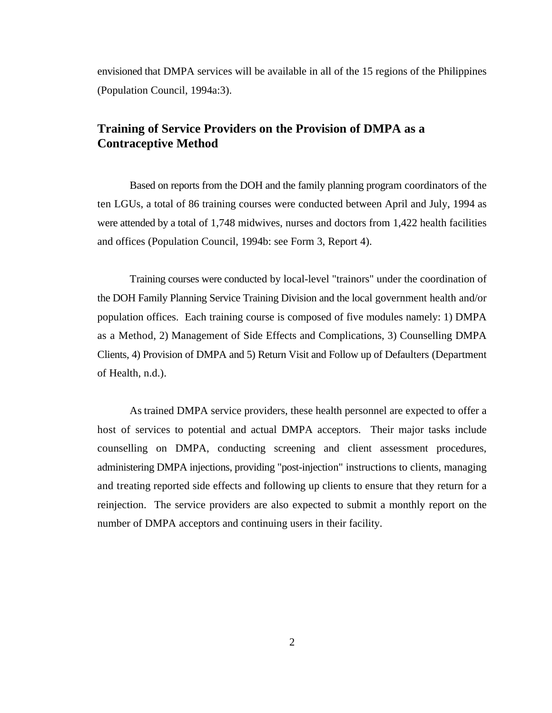envisioned that DMPA services will be available in all of the 15 regions of the Philippines (Population Council, 1994a:3).

# **Training of Service Providers on the Provision of DMPA as a Contraceptive Method**

Based on reports from the DOH and the family planning program coordinators of the ten LGUs, a total of 86 training courses were conducted between April and July, 1994 as were attended by a total of 1,748 midwives, nurses and doctors from 1,422 health facilities and offices (Population Council, 1994b: see Form 3, Report 4).

Training courses were conducted by local-level "trainors" under the coordination of the DOH Family Planning Service Training Division and the local government health and/or population offices. Each training course is composed of five modules namely: 1) DMPA as a Method, 2) Management of Side Effects and Complications, 3) Counselling DMPA Clients, 4) Provision of DMPA and 5) Return Visit and Follow up of Defaulters (Department of Health, n.d.).

As trained DMPA service providers, these health personnel are expected to offer a host of services to potential and actual DMPA acceptors. Their major tasks include counselling on DMPA, conducting screening and client assessment procedures, administering DMPA injections, providing "post-injection" instructions to clients, managing and treating reported side effects and following up clients to ensure that they return for a reinjection. The service providers are also expected to submit a monthly report on the number of DMPA acceptors and continuing users in their facility.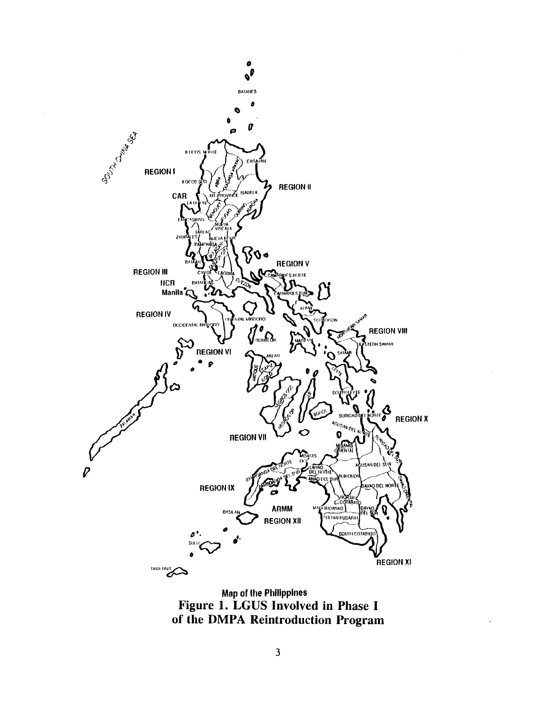

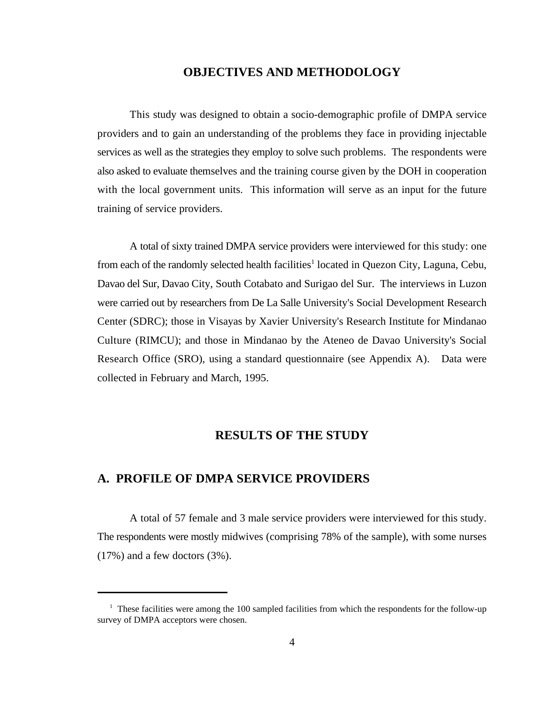### **OBJECTIVES AND METHODOLOGY**

This study was designed to obtain a socio-demographic profile of DMPA service providers and to gain an understanding of the problems they face in providing injectable services as well as the strategies they employ to solve such problems. The respondents were also asked to evaluate themselves and the training course given by the DOH in cooperation with the local government units. This information will serve as an input for the future training of service providers.

A total of sixty trained DMPA service providers were interviewed for this study: one from each of the randomly selected health facilities<sup>1</sup> located in Quezon City, Laguna, Cebu, Davao del Sur, Davao City, South Cotabato and Surigao del Sur. The interviews in Luzon were carried out by researchers from De La Salle University's Social Development Research Center (SDRC); those in Visayas by Xavier University's Research Institute for Mindanao Culture (RIMCU); and those in Mindanao by the Ateneo de Davao University's Social Research Office (SRO), using a standard questionnaire (see Appendix A). Data were collected in February and March, 1995.

# **RESULTS OF THE STUDY**

### **A. PROFILE OF DMPA SERVICE PROVIDERS**

A total of 57 female and 3 male service providers were interviewed for this study. The respondents were mostly midwives (comprising 78% of the sample), with some nurses (17%) and a few doctors (3%).

 $1$  These facilities were among the 100 sampled facilities from which the respondents for the follow-up survey of DMPA acceptors were chosen.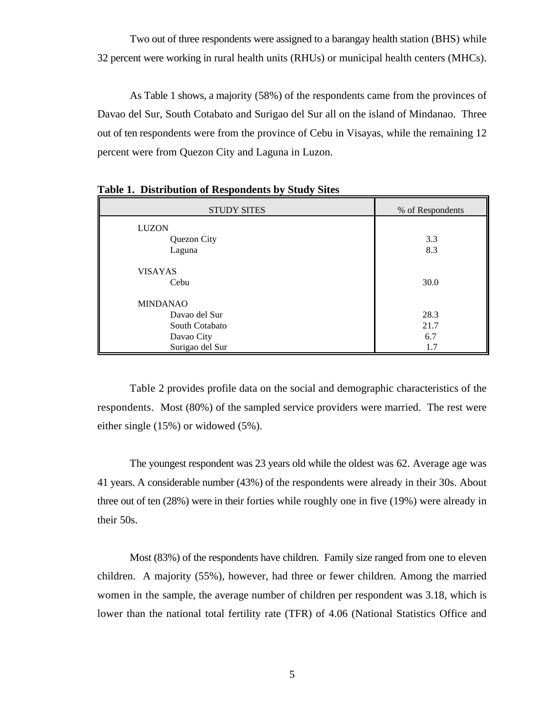Two out of three respondents were assigned to a barangay health station (BHS) while 32 percent were working in rural health units (RHUs) or municipal health centers (MHCs).

As Table 1 shows, a majority (58%) of the respondents came from the provinces of Davao del Sur, South Cotabato and Surigao del Sur all on the island of Mindanao. Three out of ten respondents were from the province of Cebu in Visayas, while the remaining 12 percent were from Quezon City and Laguna in Luzon.

| <b>STUDY SITES</b> | % of Respondents |
|--------------------|------------------|
| <b>LUZON</b>       |                  |
| Quezon City        | 3.3              |
| Laguna             | 8.3              |
| <b>VISAYAS</b>     |                  |
| Cebu               | 30.0             |
| <b>MINDANAO</b>    |                  |
| Davao del Sur      | 28.3             |
| South Cotabato     | 21.7             |
| Davao City         | 6.7              |
| Surigao del Sur    | 1.7              |

**Table 1. Distribution of Respondents by Study Sites**

Table 2 provides profile data on the social and demographic characteristics of the respondents. Most (80%) of the sampled service providers were married. The rest were either single (15%) or widowed (5%).

The youngest respondent was 23 years old while the oldest was 62. Average age was 41 years. A considerable number (43%) of the respondents were already in their 30s. About three out of ten (28%) were in their forties while roughly one in five (19%) were already in their 50s.

Most (83%) of the respondents have children. Family size ranged from one to eleven children. A majority (55%), however, had three or fewer children. Among the married women in the sample, the average number of children per respondent was 3.18, which is lower than the national total fertility rate (TFR) of 4.06 (National Statistics Office and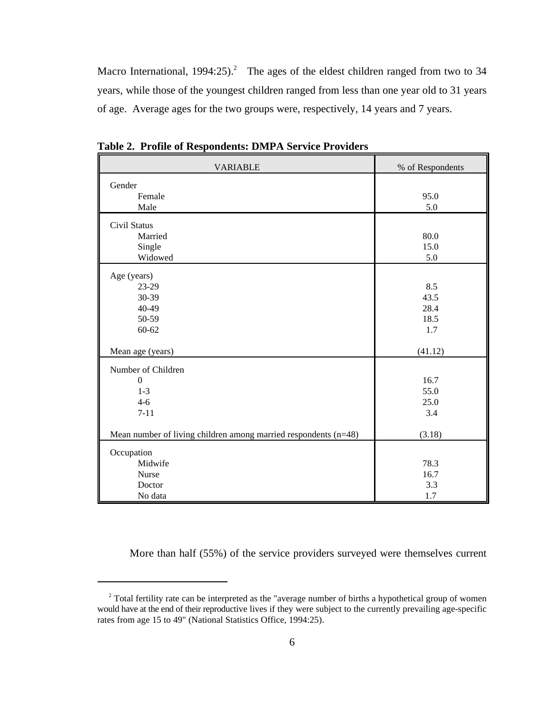Macro International,  $1994:25$ ).<sup>2</sup> The ages of the eldest children ranged from two to 34 years, while those of the youngest children ranged from less than one year old to 31 years of age. Average ages for the two groups were, respectively, 14 years and 7 years.

| <b>VARIABLE</b>                                                   | % of Respondents |
|-------------------------------------------------------------------|------------------|
| Gender                                                            |                  |
| Female                                                            | 95.0             |
| Male                                                              | 5.0              |
| Civil Status                                                      |                  |
| Married                                                           | 80.0             |
| Single                                                            | 15.0             |
| Widowed                                                           | 5.0              |
| Age (years)                                                       |                  |
| 23-29                                                             | 8.5              |
| 30-39                                                             | 43.5             |
| 40-49                                                             | 28.4             |
| 50-59                                                             | 18.5             |
| $60 - 62$                                                         | 1.7              |
|                                                                   |                  |
| Mean age (years)                                                  | (41.12)          |
| Number of Children                                                |                  |
| $\Omega$                                                          | 16.7             |
| $1 - 3$                                                           | 55.0             |
| $4 - 6$                                                           | 25.0             |
| $7 - 11$                                                          | 3.4              |
| Mean number of living children among married respondents $(n=48)$ | (3.18)           |
|                                                                   |                  |
| Occupation                                                        |                  |
| Midwife                                                           | 78.3             |
| Nurse                                                             | 16.7             |
| Doctor                                                            | 3.3              |
| No data                                                           | 1.7              |

**Table 2. Profile of Respondents: DMPA Service Providers**

More than half (55%) of the service providers surveyed were themselves current

<sup>&</sup>lt;sup>2</sup> Total fertility rate can be interpreted as the "average number of births a hypothetical group of women would have at the end of their reproductive lives if they were subject to the currently prevailing age-specific rates from age 15 to 49" (National Statistics Office, 1994:25).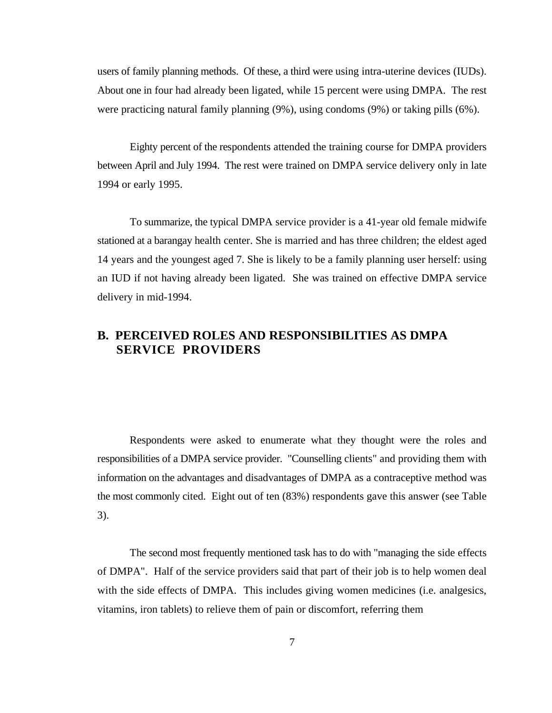users of family planning methods. Of these, a third were using intra-uterine devices (IUDs). About one in four had already been ligated, while 15 percent were using DMPA. The rest were practicing natural family planning (9%), using condoms (9%) or taking pills (6%).

Eighty percent of the respondents attended the training course for DMPA providers between April and July 1994. The rest were trained on DMPA service delivery only in late 1994 or early 1995.

To summarize, the typical DMPA service provider is a 41-year old female midwife stationed at a barangay health center. She is married and has three children; the eldest aged 14 years and the youngest aged 7. She is likely to be a family planning user herself: using an IUD if not having already been ligated. She was trained on effective DMPA service delivery in mid-1994.

# **B. PERCEIVED ROLES AND RESPONSIBILITIES AS DMPA SERVICE PROVIDERS**

Respondents were asked to enumerate what they thought were the roles and responsibilities of a DMPA service provider. "Counselling clients" and providing them with information on the advantages and disadvantages of DMPA as a contraceptive method was the most commonly cited. Eight out of ten (83%) respondents gave this answer (see Table 3).

The second most frequently mentioned task has to do with "managing the side effects of DMPA". Half of the service providers said that part of their job is to help women deal with the side effects of DMPA. This includes giving women medicines (i.e. analgesics, vitamins, iron tablets) to relieve them of pain or discomfort, referring them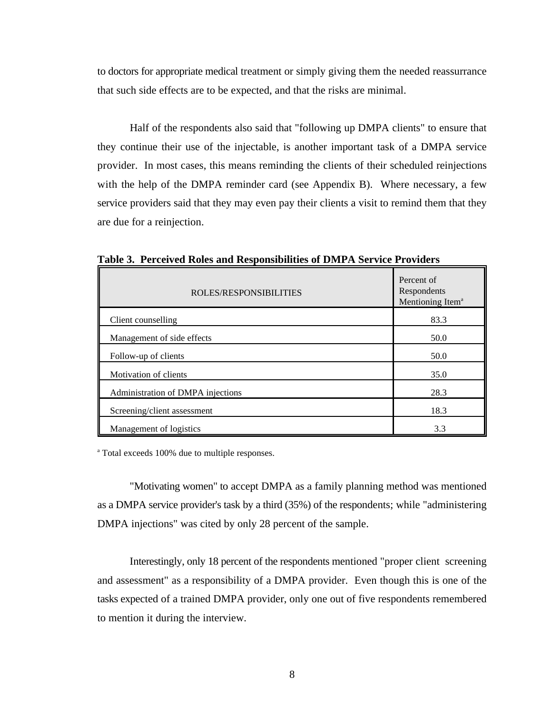to doctors for appropriate medical treatment or simply giving them the needed reassurrance that such side effects are to be expected, and that the risks are minimal.

Half of the respondents also said that "following up DMPA clients" to ensure that they continue their use of the injectable, is another important task of a DMPA service provider. In most cases, this means reminding the clients of their scheduled reinjections with the help of the DMPA reminder card (see Appendix B). Where necessary, a few service providers said that they may even pay their clients a visit to remind them that they are due for a reinjection.

| ROLES/RESPONSIBILITIES            | Percent of<br>Respondents<br>Mentioning Item <sup>a</sup> |
|-----------------------------------|-----------------------------------------------------------|
| Client counselling                | 83.3                                                      |
| Management of side effects        | 50.0                                                      |
| Follow-up of clients              | 50.0                                                      |
| Motivation of clients             | 35.0                                                      |
| Administration of DMPA injections | 28.3                                                      |
| Screening/client assessment       | 18.3                                                      |
| Management of logistics           | 3.3                                                       |

**Table 3. Perceived Roles and Responsibilities of DMPA Service Providers**

<sup>a</sup> Total exceeds 100% due to multiple responses.

"Motivating women" to accept DMPA as a family planning method was mentioned as a DMPA service provider's task by a third (35%) of the respondents; while "administering DMPA injections" was cited by only 28 percent of the sample.

Interestingly, only 18 percent of the respondents mentioned "proper client screening and assessment" as a responsibility of a DMPA provider. Even though this is one of the tasks expected of a trained DMPA provider, only one out of five respondents remembered to mention it during the interview.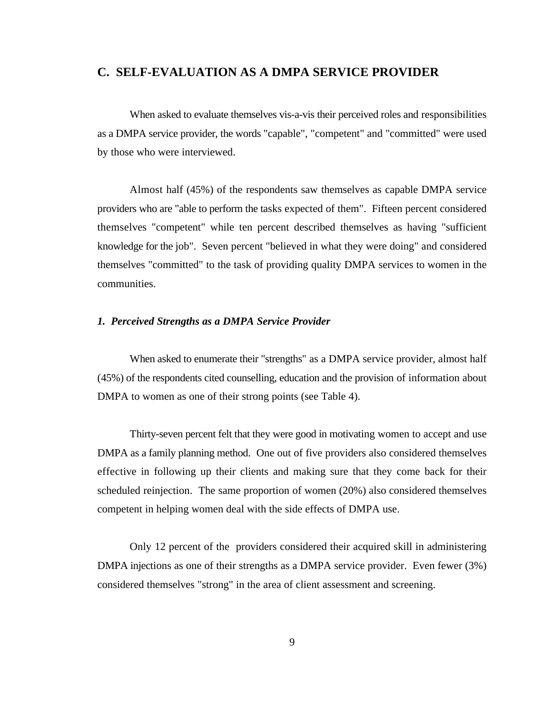## **C. SELF-EVALUATION AS A DMPA SERVICE PROVIDER**

When asked to evaluate themselves vis-a-vis their perceived roles and responsibilities as a DMPA service provider, the words "capable", "competent" and "committed" were used by those who were interviewed.

Almost half (45%) of the respondents saw themselves as capable DMPA service providers who are "able to perform the tasks expected of them". Fifteen percent considered themselves "competent" while ten percent described themselves as having "sufficient knowledge for the job". Seven percent "believed in what they were doing" and considered themselves "committed" to the task of providing quality DMPA services to women in the communities.

#### *1. Perceived Strengths as a DMPA Service Provider*

When asked to enumerate their "strengths" as a DMPA service provider, almost half (45%) of the respondents cited counselling, education and the provision of information about DMPA to women as one of their strong points (see Table 4).

Thirty-seven percent felt that they were good in motivating women to accept and use DMPA as a family planning method. One out of five providers also considered themselves effective in following up their clients and making sure that they come back for their scheduled reinjection. The same proportion of women (20%) also considered themselves competent in helping women deal with the side effects of DMPA use.

Only 12 percent of the providers considered their acquired skill in administering DMPA injections as one of their strengths as a DMPA service provider. Even fewer (3%) considered themselves "strong" in the area of client assessment and screening.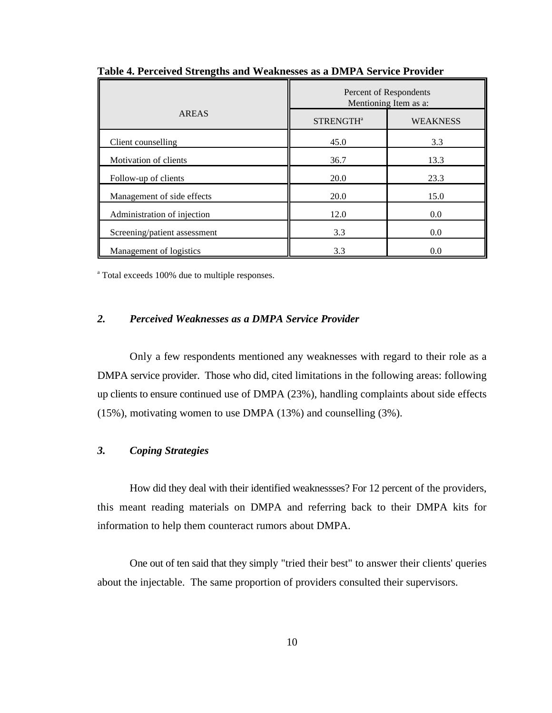|                              | Percent of Respondents<br>Mentioning Item as a: |                 |
|------------------------------|-------------------------------------------------|-----------------|
| <b>AREAS</b>                 | STRENGTH <sup>a</sup>                           | <b>WEAKNESS</b> |
| Client counselling           | 45.0                                            | 3.3             |
| Motivation of clients        | 36.7                                            | 13.3            |
| Follow-up of clients         | 20.0                                            | 23.3            |
| Management of side effects   | 20.0                                            | 15.0            |
| Administration of injection  | 12.0                                            | 0.0             |
| Screening/patient assessment | 3.3                                             | 0.0             |
| Management of logistics      | 3.3                                             | 0.0             |

**Table 4. Perceived Strengths and Weaknesses as a DMPA Service Provider**

<sup>a</sup> Total exceeds 100% due to multiple responses.

#### *2. Perceived Weaknesses as a DMPA Service Provider*

Only a few respondents mentioned any weaknesses with regard to their role as a DMPA service provider. Those who did, cited limitations in the following areas: following up clients to ensure continued use of DMPA (23%), handling complaints about side effects (15%), motivating women to use DMPA (13%) and counselling (3%).

## *3. Coping Strategies*

How did they deal with their identified weaknessses? For 12 percent of the providers, this meant reading materials on DMPA and referring back to their DMPA kits for information to help them counteract rumors about DMPA.

One out of ten said that they simply "tried their best" to answer their clients' queries about the injectable. The same proportion of providers consulted their supervisors.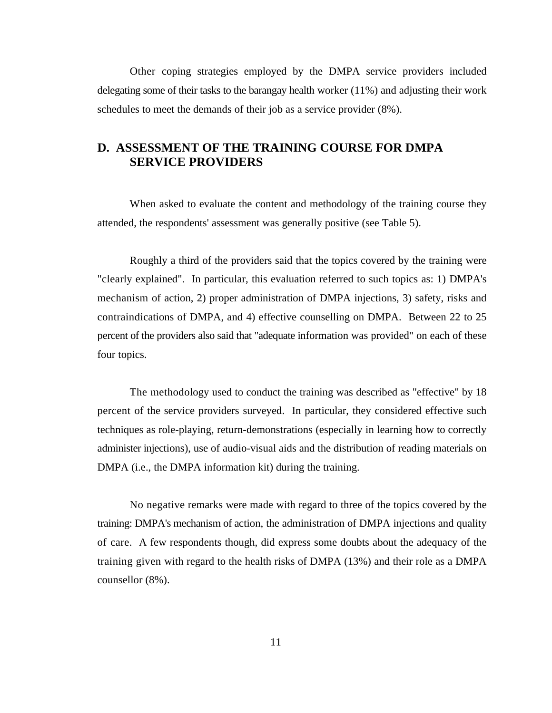Other coping strategies employed by the DMPA service providers included delegating some of their tasks to the barangay health worker (11%) and adjusting their work schedules to meet the demands of their job as a service provider (8%).

# **D. ASSESSMENT OF THE TRAINING COURSE FOR DMPA SERVICE PROVIDERS**

When asked to evaluate the content and methodology of the training course they attended, the respondents' assessment was generally positive (see Table 5).

Roughly a third of the providers said that the topics covered by the training were "clearly explained". In particular, this evaluation referred to such topics as: 1) DMPA's mechanism of action, 2) proper administration of DMPA injections, 3) safety, risks and contraindications of DMPA, and 4) effective counselling on DMPA. Between 22 to 25 percent of the providers also said that "adequate information was provided" on each of these four topics.

The methodology used to conduct the training was described as "effective" by 18 percent of the service providers surveyed. In particular, they considered effective such techniques as role-playing, return-demonstrations (especially in learning how to correctly administer injections), use of audio-visual aids and the distribution of reading materials on DMPA (i.e., the DMPA information kit) during the training.

No negative remarks were made with regard to three of the topics covered by the training: DMPA's mechanism of action, the administration of DMPA injections and quality of care. A few respondents though, did express some doubts about the adequacy of the training given with regard to the health risks of DMPA (13%) and their role as a DMPA counsellor (8%).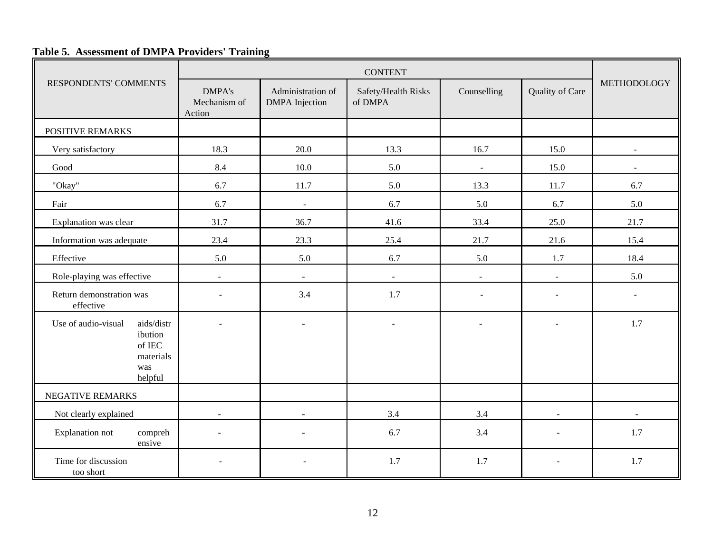# **Table 5. Assessment of DMPA Providers' Training**

|                                                                                            | <b>CONTENT</b>                          |                                            |                                |                |                 |                |
|--------------------------------------------------------------------------------------------|-----------------------------------------|--------------------------------------------|--------------------------------|----------------|-----------------|----------------|
| RESPONDENTS' COMMENTS                                                                      | <b>DMPA's</b><br>Mechanism of<br>Action | Administration of<br><b>DMPA</b> Injection | Safety/Health Risks<br>of DMPA | Counselling    | Quality of Care | METHODOLOGY    |
| POSITIVE REMARKS                                                                           |                                         |                                            |                                |                |                 |                |
| Very satisfactory                                                                          | 18.3                                    | 20.0                                       | 13.3                           | 16.7           | 15.0            |                |
| Good                                                                                       | 8.4                                     | 10.0                                       | 5.0                            | $\blacksquare$ | 15.0            | $\blacksquare$ |
| "Okay"                                                                                     | 6.7                                     | 11.7                                       | 5.0                            | 13.3           | 11.7            | 6.7            |
| Fair                                                                                       | 6.7                                     |                                            | 6.7                            | 5.0            | 6.7             | 5.0            |
| Explanation was clear                                                                      | 31.7                                    | 36.7                                       | 41.6                           | 33.4           | 25.0            | 21.7           |
| Information was adequate                                                                   | 23.4                                    | 23.3                                       | 25.4                           | 21.7           | 21.6            | 15.4           |
| Effective                                                                                  | 5.0                                     | 5.0                                        | 6.7                            | 5.0            | 1.7             | 18.4           |
| Role-playing was effective                                                                 | $\mathbb{Z}^2$                          | $\blacksquare$                             | $\blacksquare$                 | $\sim$         | $\omega$        | 5.0            |
| Return demonstration was<br>effective                                                      |                                         | 3.4                                        | 1.7                            |                | $\sim$          |                |
| aids/distr<br>Use of audio-visual<br>ibution<br>of IEC $\,$<br>materials<br>was<br>helpful |                                         | $\sim$                                     | $\sim$                         |                | $\sim$          | 1.7            |
| NEGATIVE REMARKS                                                                           |                                         |                                            |                                |                |                 |                |
| Not clearly explained                                                                      | $\overline{a}$                          | $\overline{a}$                             | 3.4                            | 3.4            | $\blacksquare$  |                |
| <b>Explanation not</b><br>compreh<br>ensive                                                |                                         |                                            | 6.7                            | 3.4            | $\sim$          | 1.7            |
| Time for discussion<br>too short                                                           | $\sim$                                  | $\sim$                                     | 1.7                            | 1.7            | $\blacksquare$  | 1.7            |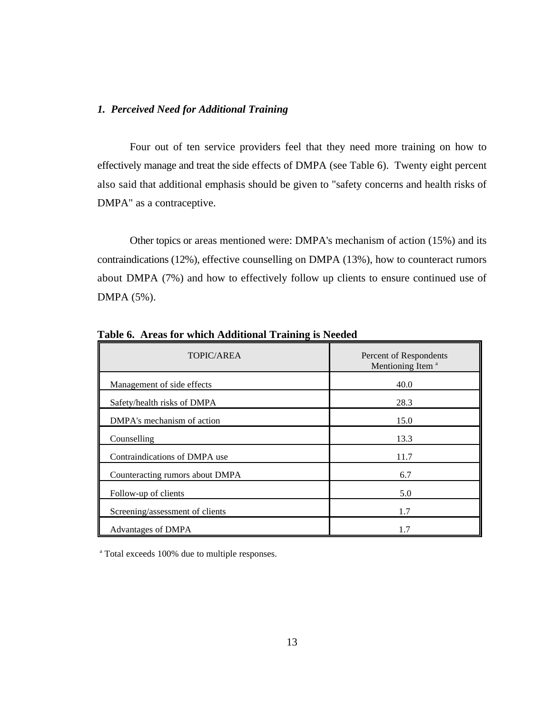#### *1. Perceived Need for Additional Training*

Four out of ten service providers feel that they need more training on how to effectively manage and treat the side effects of DMPA (see Table 6). Twenty eight percent also said that additional emphasis should be given to "safety concerns and health risks of DMPA" as a contraceptive.

Other topics or areas mentioned were: DMPA's mechanism of action (15%) and its contraindications (12%), effective counselling on DMPA (13%), how to counteract rumors about DMPA (7%) and how to effectively follow up clients to ensure continued use of DMPA (5%).

| TOPIC/AREA                      | Percent of Respondents<br>Mentioning Item <sup>a</sup> |  |
|---------------------------------|--------------------------------------------------------|--|
| Management of side effects      | 40.0                                                   |  |
| Safety/health risks of DMPA     | 28.3                                                   |  |
| DMPA's mechanism of action      | 15.0                                                   |  |
| Counselling                     | 13.3                                                   |  |
| Contraindications of DMPA use   | 11.7                                                   |  |
| Counteracting rumors about DMPA | 6.7                                                    |  |
| Follow-up of clients            | 5.0                                                    |  |
| Screening/assessment of clients | 1.7                                                    |  |
| Advantages of DMPA              | 1.7                                                    |  |

**Table 6. Areas for which Additional Training is Needed** 

<sup>a</sup> Total exceeds 100% due to multiple responses.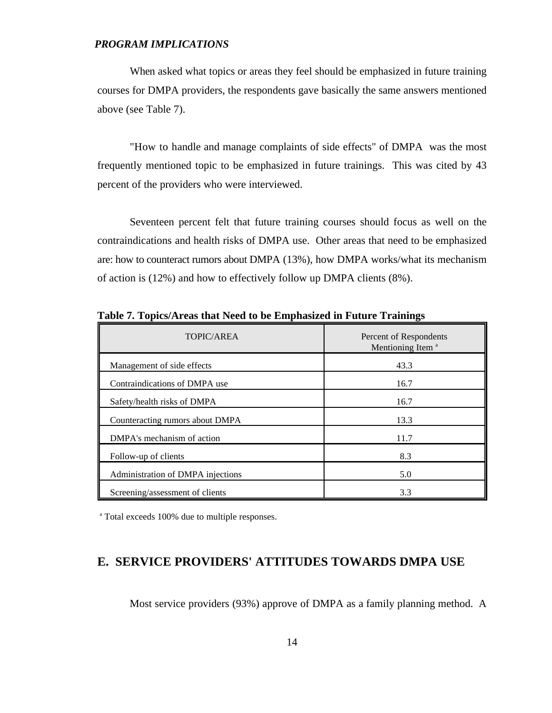#### *PROGRAM IMPLICATIONS*

When asked what topics or areas they feel should be emphasized in future training courses for DMPA providers, the respondents gave basically the same answers mentioned above (see Table 7).

"How to handle and manage complaints of side effects" of DMPA was the most frequently mentioned topic to be emphasized in future trainings. This was cited by 43 percent of the providers who were interviewed.

Seventeen percent felt that future training courses should focus as well on the contraindications and health risks of DMPA use. Other areas that need to be emphasized are: how to counteract rumors about DMPA (13%), how DMPA works/what its mechanism of action is (12%) and how to effectively follow up DMPA clients (8%).

| TOPIC/AREA                        | Percent of Respondents<br>Mentioning Item <sup>a</sup> |  |
|-----------------------------------|--------------------------------------------------------|--|
| Management of side effects        | 43.3                                                   |  |
| Contraindications of DMPA use     | 16.7                                                   |  |
| Safety/health risks of DMPA       | 16.7                                                   |  |
| Counteracting rumors about DMPA   | 13.3                                                   |  |
| DMPA's mechanism of action        | 11.7                                                   |  |
| Follow-up of clients              | 8.3                                                    |  |
| Administration of DMPA injections | 5.0                                                    |  |
| Screening/assessment of clients   | 3.3                                                    |  |

**Table 7. Topics/Areas that Need to be Emphasized in Future Trainings**

<sup>a</sup> Total exceeds 100% due to multiple responses.

# **E. SERVICE PROVIDERS' ATTITUDES TOWARDS DMPA USE**

Most service providers (93%) approve of DMPA as a family planning method. A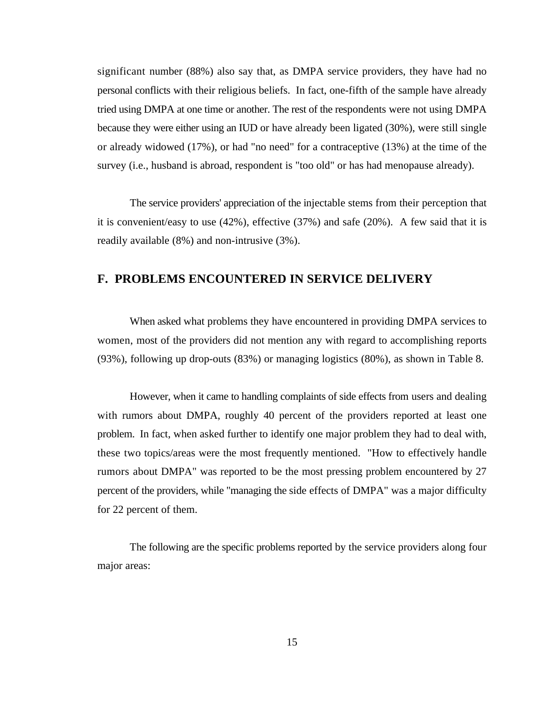significant number (88%) also say that, as DMPA service providers, they have had no personal conflicts with their religious beliefs. In fact, one-fifth of the sample have already tried using DMPA at one time or another. The rest of the respondents were not using DMPA because they were either using an IUD or have already been ligated (30%), were still single or already widowed (17%), or had "no need" for a contraceptive (13%) at the time of the survey (i.e., husband is abroad, respondent is "too old" or has had menopause already).

The service providers' appreciation of the injectable stems from their perception that it is convenient/easy to use (42%), effective (37%) and safe (20%). A few said that it is readily available (8%) and non-intrusive (3%).

# **F. PROBLEMS ENCOUNTERED IN SERVICE DELIVERY**

When asked what problems they have encountered in providing DMPA services to women, most of the providers did not mention any with regard to accomplishing reports (93%), following up drop-outs (83%) or managing logistics (80%), as shown in Table 8.

However, when it came to handling complaints of side effects from users and dealing with rumors about DMPA, roughly 40 percent of the providers reported at least one problem. In fact, when asked further to identify one major problem they had to deal with, these two topics/areas were the most frequently mentioned. "How to effectively handle rumors about DMPA" was reported to be the most pressing problem encountered by 27 percent of the providers, while "managing the side effects of DMPA" was a major difficulty for 22 percent of them.

The following are the specific problems reported by the service providers along four major areas: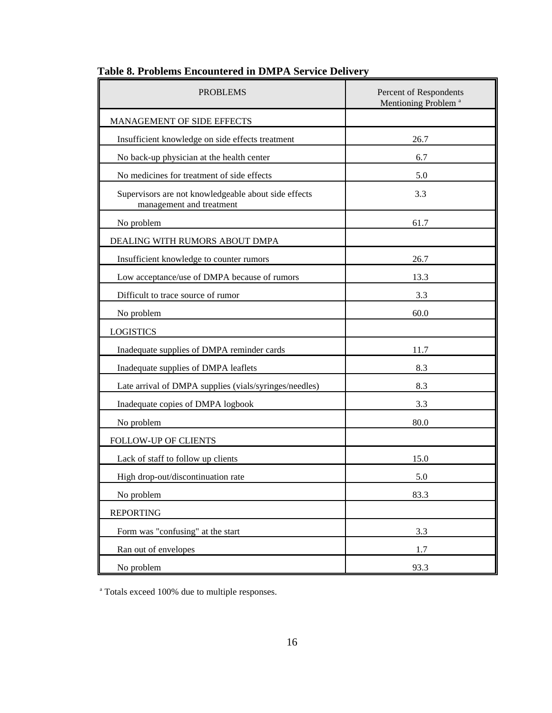| <b>PROBLEMS</b>                                                                  | Percent of Respondents<br>Mentioning Problem <sup>a</sup> |
|----------------------------------------------------------------------------------|-----------------------------------------------------------|
| MANAGEMENT OF SIDE EFFECTS                                                       |                                                           |
| Insufficient knowledge on side effects treatment                                 | 26.7                                                      |
| No back-up physician at the health center                                        | 6.7                                                       |
| No medicines for treatment of side effects                                       | 5.0                                                       |
| Supervisors are not knowledgeable about side effects<br>management and treatment | 3.3                                                       |
| No problem                                                                       | 61.7                                                      |
| DEALING WITH RUMORS ABOUT DMPA                                                   |                                                           |
| Insufficient knowledge to counter rumors                                         | 26.7                                                      |
| Low acceptance/use of DMPA because of rumors                                     | 13.3                                                      |
| Difficult to trace source of rumor                                               | 3.3                                                       |
| No problem                                                                       | 60.0                                                      |
| <b>LOGISTICS</b>                                                                 |                                                           |
| Inadequate supplies of DMPA reminder cards                                       | 11.7                                                      |
| Inadequate supplies of DMPA leaflets                                             | 8.3                                                       |
| Late arrival of DMPA supplies (vials/syringes/needles)                           | 8.3                                                       |
| Inadequate copies of DMPA logbook                                                | 3.3                                                       |
| No problem                                                                       | 80.0                                                      |
| FOLLOW-UP OF CLIENTS                                                             |                                                           |
| Lack of staff to follow up clients                                               | 15.0                                                      |
| High drop-out/discontinuation rate                                               | 5.0                                                       |
| No problem                                                                       | 83.3                                                      |
| <b>REPORTING</b>                                                                 |                                                           |
| Form was "confusing" at the start                                                | 3.3                                                       |
| Ran out of envelopes                                                             | 1.7                                                       |
| No problem                                                                       | 93.3                                                      |

# **Table 8. Problems Encountered in DMPA Service Delivery**

<sup>a</sup> Totals exceed 100% due to multiple responses.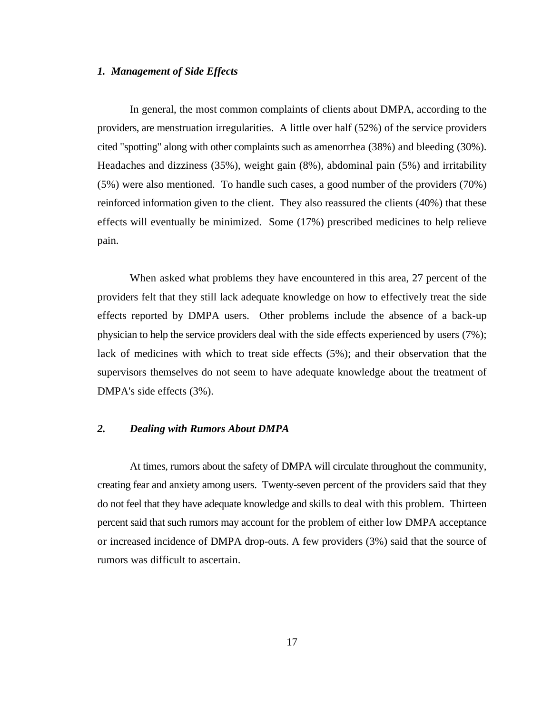#### *1. Management of Side Effects*

In general, the most common complaints of clients about DMPA, according to the providers, are menstruation irregularities. A little over half (52%) of the service providers cited "spotting" along with other complaints such as amenorrhea (38%) and bleeding (30%). Headaches and dizziness (35%), weight gain (8%), abdominal pain (5%) and irritability (5%) were also mentioned. To handle such cases, a good number of the providers (70%) reinforced information given to the client. They also reassured the clients (40%) that these effects will eventually be minimized. Some (17%) prescribed medicines to help relieve pain.

When asked what problems they have encountered in this area, 27 percent of the providers felt that they still lack adequate knowledge on how to effectively treat the side effects reported by DMPA users. Other problems include the absence of a back-up physician to help the service providers deal with the side effects experienced by users (7%); lack of medicines with which to treat side effects (5%); and their observation that the supervisors themselves do not seem to have adequate knowledge about the treatment of DMPA's side effects (3%).

#### *2. Dealing with Rumors About DMPA*

At times, rumors about the safety of DMPA will circulate throughout the community, creating fear and anxiety among users. Twenty-seven percent of the providers said that they do not feel that they have adequate knowledge and skills to deal with this problem. Thirteen percent said that such rumors may account for the problem of either low DMPA acceptance or increased incidence of DMPA drop-outs. A few providers (3%) said that the source of rumors was difficult to ascertain.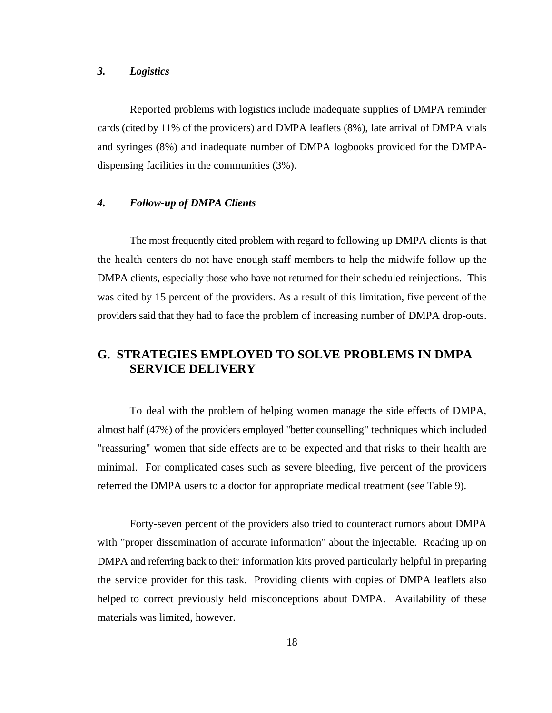#### *3. Logistics*

Reported problems with logistics include inadequate supplies of DMPA reminder cards (cited by 11% of the providers) and DMPA leaflets (8%), late arrival of DMPA vials and syringes (8%) and inadequate number of DMPA logbooks provided for the DMPAdispensing facilities in the communities (3%).

# *4. Follow-up of DMPA Clients*

The most frequently cited problem with regard to following up DMPA clients is that the health centers do not have enough staff members to help the midwife follow up the DMPA clients, especially those who have not returned for their scheduled reinjections. This was cited by 15 percent of the providers. As a result of this limitation, five percent of the providers said that they had to face the problem of increasing number of DMPA drop-outs.

# **G. STRATEGIES EMPLOYED TO SOLVE PROBLEMS IN DMPA SERVICE DELIVERY**

To deal with the problem of helping women manage the side effects of DMPA, almost half (47%) of the providers employed "better counselling" techniques which included "reassuring" women that side effects are to be expected and that risks to their health are minimal. For complicated cases such as severe bleeding, five percent of the providers referred the DMPA users to a doctor for appropriate medical treatment (see Table 9).

Forty-seven percent of the providers also tried to counteract rumors about DMPA with "proper dissemination of accurate information" about the injectable. Reading up on DMPA and referring back to their information kits proved particularly helpful in preparing the service provider for this task. Providing clients with copies of DMPA leaflets also helped to correct previously held misconceptions about DMPA. Availability of these materials was limited, however.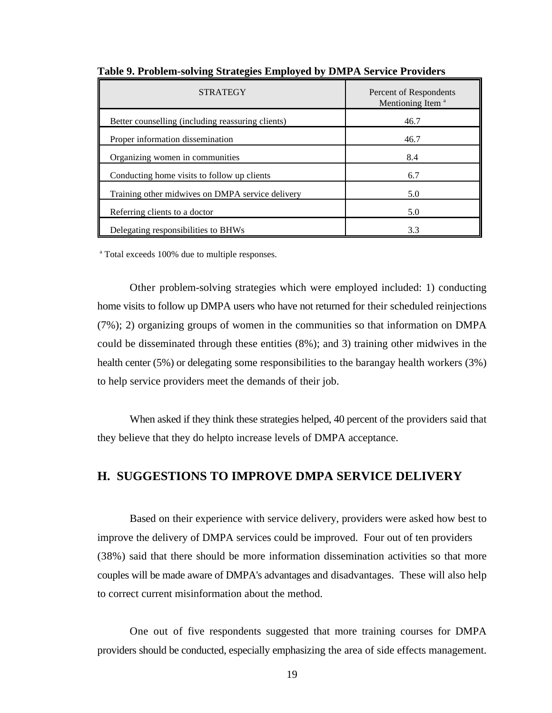| <b>STRATEGY</b>                                   | Percent of Respondents<br>Mentioning Item <sup>a</sup> |  |
|---------------------------------------------------|--------------------------------------------------------|--|
| Better counselling (including reassuring clients) | 46.7                                                   |  |
| Proper information dissemination                  | 46.7                                                   |  |
| Organizing women in communities                   | 8.4                                                    |  |
| Conducting home visits to follow up clients       | 6.7                                                    |  |
| Training other midwives on DMPA service delivery  | 5.0                                                    |  |
| Referring clients to a doctor                     | 5.0                                                    |  |
| Delegating responsibilities to BHWs               | 3.3                                                    |  |

**Table 9. Problem-solving Strategies Employed by DMPA Service Providers**

<sup>a</sup> Total exceeds 100% due to multiple responses.

Other problem-solving strategies which were employed included: 1) conducting home visits to follow up DMPA users who have not returned for their scheduled reinjections (7%); 2) organizing groups of women in the communities so that information on DMPA could be disseminated through these entities (8%); and 3) training other midwives in the health center (5%) or delegating some responsibilities to the barangay health workers (3%) to help service providers meet the demands of their job.

When asked if they think these strategies helped, 40 percent of the providers said that they believe that they do helpto increase levels of DMPA acceptance.

# **H. SUGGESTIONS TO IMPROVE DMPA SERVICE DELIVERY**

Based on their experience with service delivery, providers were asked how best to improve the delivery of DMPA services could be improved. Four out of ten providers (38%) said that there should be more information dissemination activities so that more couples will be made aware of DMPA's advantages and disadvantages. These will also help to correct current misinformation about the method.

One out of five respondents suggested that more training courses for DMPA providers should be conducted, especially emphasizing the area of side effects management.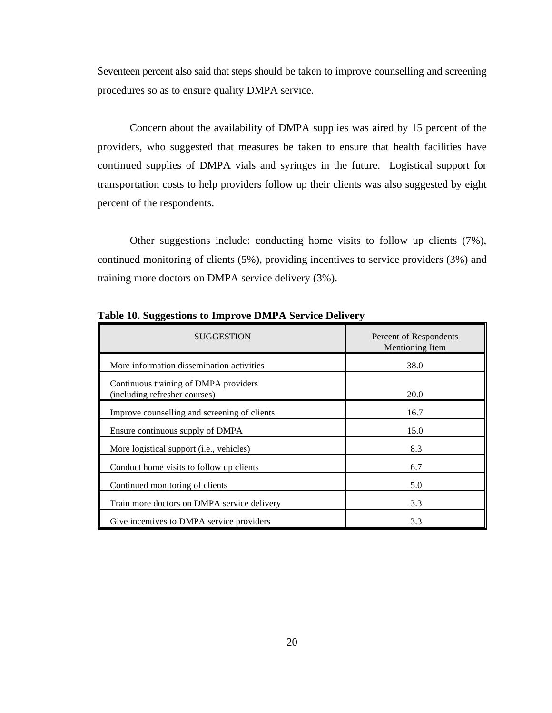Seventeen percent also said that steps should be taken to improve counselling and screening procedures so as to ensure quality DMPA service.

Concern about the availability of DMPA supplies was aired by 15 percent of the providers, who suggested that measures be taken to ensure that health facilities have continued supplies of DMPA vials and syringes in the future. Logistical support for transportation costs to help providers follow up their clients was also suggested by eight percent of the respondents.

Other suggestions include: conducting home visits to follow up clients (7%), continued monitoring of clients (5%), providing incentives to service providers (3%) and training more doctors on DMPA service delivery (3%).

| <b>SUGGESTION</b>                                                      | Percent of Respondents<br>Mentioning Item |
|------------------------------------------------------------------------|-------------------------------------------|
| More information dissemination activities                              | 38.0                                      |
| Continuous training of DMPA providers<br>(including refresher courses) | 20.0                                      |
| Improve counselling and screening of clients                           | 16.7                                      |
| Ensure continuous supply of DMPA                                       | 15.0                                      |
| More logistical support (i.e., vehicles)                               | 8.3                                       |
| Conduct home visits to follow up clients                               | 6.7                                       |
| Continued monitoring of clients                                        | 5.0                                       |
| Train more doctors on DMPA service delivery                            | 3.3                                       |
| Give incentives to DMPA service providers                              | 3.3                                       |

**Table 10. Suggestions to Improve DMPA Service Delivery**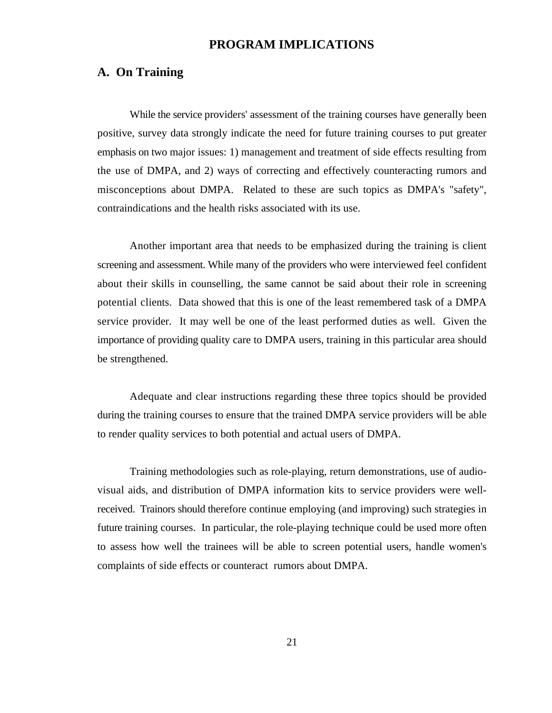# **PROGRAM IMPLICATIONS**

## **A. On Training**

While the service providers' assessment of the training courses have generally been positive, survey data strongly indicate the need for future training courses to put greater emphasis on two major issues: 1) management and treatment of side effects resulting from the use of DMPA, and 2) ways of correcting and effectively counteracting rumors and misconceptions about DMPA. Related to these are such topics as DMPA's "safety", contraindications and the health risks associated with its use.

Another important area that needs to be emphasized during the training is client screening and assessment. While many of the providers who were interviewed feel confident about their skills in counselling, the same cannot be said about their role in screening potential clients. Data showed that this is one of the least remembered task of a DMPA service provider. It may well be one of the least performed duties as well. Given the importance of providing quality care to DMPA users, training in this particular area should be strengthened.

Adequate and clear instructions regarding these three topics should be provided during the training courses to ensure that the trained DMPA service providers will be able to render quality services to both potential and actual users of DMPA.

Training methodologies such as role-playing, return demonstrations, use of audiovisual aids, and distribution of DMPA information kits to service providers were wellreceived. Trainors should therefore continue employing (and improving) such strategies in future training courses. In particular, the role-playing technique could be used more often to assess how well the trainees will be able to screen potential users, handle women's complaints of side effects or counteract rumors about DMPA.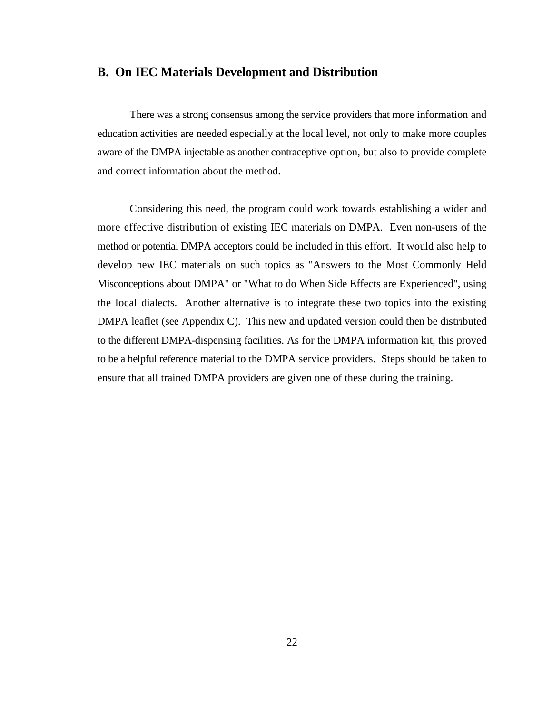#### **B. On IEC Materials Development and Distribution**

There was a strong consensus among the service providers that more information and education activities are needed especially at the local level, not only to make more couples aware of the DMPA injectable as another contraceptive option, but also to provide complete and correct information about the method.

Considering this need, the program could work towards establishing a wider and more effective distribution of existing IEC materials on DMPA. Even non-users of the method or potential DMPA acceptors could be included in this effort. It would also help to develop new IEC materials on such topics as "Answers to the Most Commonly Held Misconceptions about DMPA" or "What to do When Side Effects are Experienced", using the local dialects. Another alternative is to integrate these two topics into the existing DMPA leaflet (see Appendix C). This new and updated version could then be distributed to the different DMPA-dispensing facilities. As for the DMPA information kit, this proved to be a helpful reference material to the DMPA service providers. Steps should be taken to ensure that all trained DMPA providers are given one of these during the training.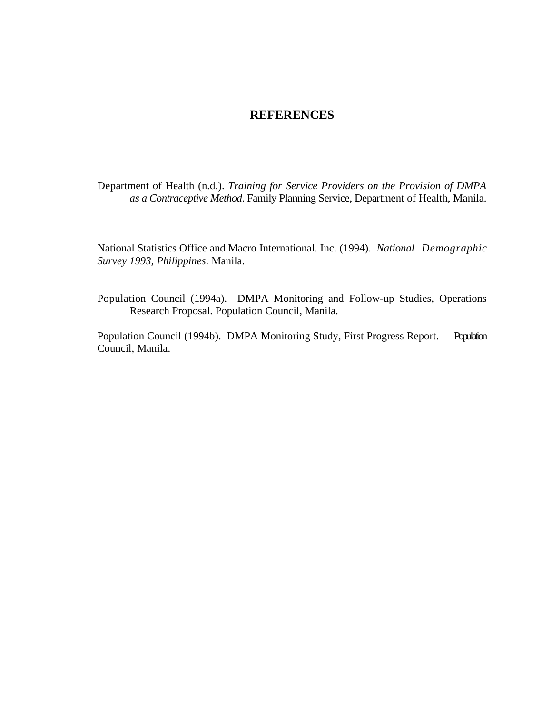# **REFERENCES**

Department of Health (n.d.). *Training for Service Providers on the Provision of DMPA as a Contraceptive Method*. Family Planning Service, Department of Health, Manila.

National Statistics Office and Macro International. Inc. (1994). *National Demographic Survey 1993, Philippines*. Manila.

Population Council (1994a). DMPA Monitoring and Follow-up Studies, Operations Research Proposal. Population Council, Manila.

Population Council (1994b). DMPA Monitoring Study, First Progress Report. Population Council, Manila.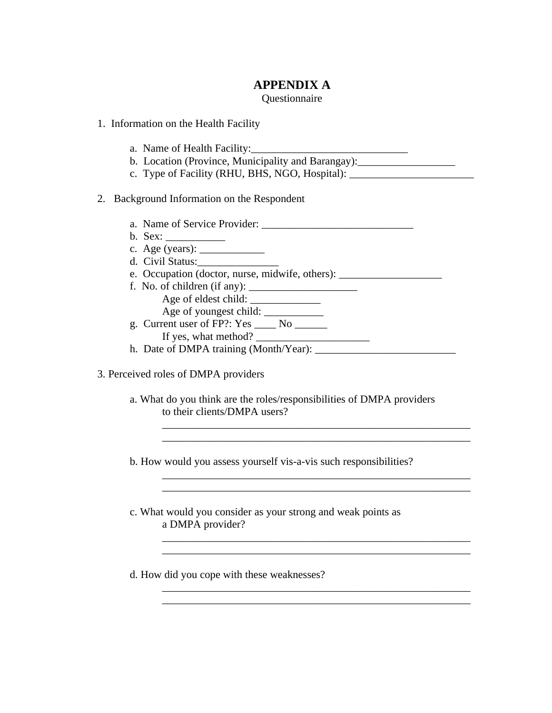# **APPENDIX A**

### Questionnaire

- 1. Information on the Health Facility
	- a. Name of Health Facility:
	- b. Location (Province, Municipality and Barangay): \_\_\_\_\_\_\_\_\_\_\_\_\_\_\_\_\_\_\_\_\_\_\_\_\_\_\_\_\_
	- c. Type of Facility (RHU, BHS, NGO, Hospital):

# 2. Background Information on the Respondent

- a. Name of Service Provider:
- b. Sex: \_\_\_\_\_\_\_\_\_\_\_
- c. Age (years):  $\frac{1}{2}$
- d. Civil Status:\_\_\_\_\_\_\_\_\_\_\_\_\_\_\_
- e. Occupation (doctor, nurse, midwife, others): \_\_\_\_\_\_\_\_\_\_\_\_\_\_\_\_\_\_\_\_\_\_\_\_\_\_\_\_\_\_\_\_
- f. No. of children (if any):  $\frac{1}{\sqrt{2\pi}}$ Age of eldest child: Age of youngest child: \_\_\_\_\_\_\_\_\_\_\_\_\_\_
- g. Current user of  $FP$ ?: Yes \_\_\_\_\_ No \_\_\_\_\_\_ If yes, what method? \_\_\_\_\_\_\_\_\_\_\_\_\_\_\_\_\_\_\_\_\_
- h. Date of DMPA training (Month/Year): \_\_\_\_\_\_\_\_\_\_\_\_\_\_\_\_\_\_\_\_\_\_\_\_\_\_
- 3. Perceived roles of DMPA providers
	- a. What do you think are the roles/responsibilities of DMPA providers to their clients/DMPA users?

\_\_\_\_\_\_\_\_\_\_\_\_\_\_\_\_\_\_\_\_\_\_\_\_\_\_\_\_\_\_\_\_\_\_\_\_\_\_\_\_\_\_\_\_\_\_\_\_\_\_\_\_\_\_\_\_\_ \_\_\_\_\_\_\_\_\_\_\_\_\_\_\_\_\_\_\_\_\_\_\_\_\_\_\_\_\_\_\_\_\_\_\_\_\_\_\_\_\_\_\_\_\_\_\_\_\_\_\_\_\_\_\_\_\_

\_\_\_\_\_\_\_\_\_\_\_\_\_\_\_\_\_\_\_\_\_\_\_\_\_\_\_\_\_\_\_\_\_\_\_\_\_\_\_\_\_\_\_\_\_\_\_\_\_\_\_\_\_\_\_\_\_

\_\_\_\_\_\_\_\_\_\_\_\_\_\_\_\_\_\_\_\_\_\_\_\_\_\_\_\_\_\_\_\_\_\_\_\_\_\_\_\_\_\_\_\_\_\_\_\_\_\_\_\_\_\_\_\_\_ \_\_\_\_\_\_\_\_\_\_\_\_\_\_\_\_\_\_\_\_\_\_\_\_\_\_\_\_\_\_\_\_\_\_\_\_\_\_\_\_\_\_\_\_\_\_\_\_\_\_\_\_\_\_\_\_\_

b. How would you assess yourself vis-a-vis such responsibilities?

c. What would you consider as your strong and weak points as a DMPA provider?

d. How did you cope with these weaknesses?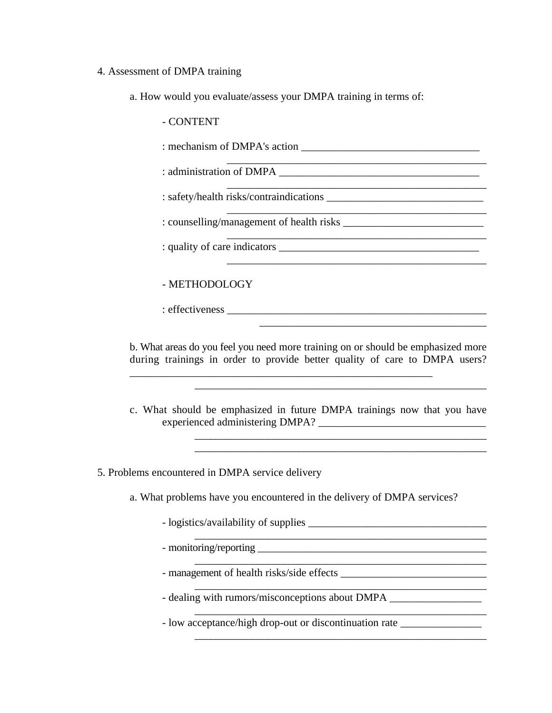#### 4. Assessment of DMPA training

a. How would you evaluate/assess your DMPA training in terms of:

- CONTENT

: mechanism of DMPA's action

\_\_\_\_\_\_\_\_\_\_\_\_\_\_\_\_\_\_\_\_\_\_\_\_\_\_\_\_\_\_\_\_\_\_\_\_\_\_\_\_\_\_\_\_\_\_\_\_ : administration of DMPA \_\_\_\_\_\_\_\_\_\_\_\_\_\_\_\_\_\_\_\_\_\_\_\_\_\_\_\_\_\_\_\_\_\_\_\_\_

: safety/health risks/contraindications \_\_\_\_\_\_\_\_\_\_\_\_\_\_\_\_\_\_\_\_\_\_\_\_\_\_\_\_\_

: counselling/management of health risks \_\_\_\_\_\_\_\_\_\_\_\_\_\_\_\_\_\_\_\_\_\_\_\_\_\_

: quality of care indicators \_\_\_\_\_\_\_\_\_\_\_\_\_\_\_\_\_\_\_\_\_\_\_\_\_\_\_\_\_\_\_\_\_\_\_\_\_

# - METHODOLOGY

: effectiveness \_\_\_\_\_\_\_\_\_\_\_\_\_\_\_\_\_\_\_\_\_\_\_\_\_\_\_\_\_\_\_\_\_\_\_\_\_\_\_\_\_\_\_\_\_\_\_\_

b. What areas do you feel you need more training on or should be emphasized more during trainings in order to provide better quality of care to DMPA users?

\_\_\_\_\_\_\_\_\_\_\_\_\_\_\_\_\_\_\_\_\_\_\_\_\_\_\_\_\_\_\_\_\_\_\_\_\_\_\_\_\_\_\_\_\_\_\_\_\_\_\_\_\_\_\_\_

\_\_\_\_\_\_\_\_\_\_\_\_\_\_\_\_\_\_\_\_\_\_\_\_\_\_\_\_\_\_\_\_\_\_\_\_\_\_\_\_\_\_\_\_\_\_\_\_

\_\_\_\_\_\_\_\_\_\_\_\_\_\_\_\_\_\_\_\_\_\_\_\_\_\_\_\_\_\_\_\_\_\_\_\_\_\_\_\_\_\_\_\_\_\_\_\_\_

\_\_\_\_\_\_\_\_\_\_\_\_\_\_\_\_\_\_\_\_\_\_\_\_\_\_\_\_\_\_\_\_\_\_\_\_\_\_\_\_\_\_

c. What should be emphasized in future DMPA trainings now that you have experienced administering DMPA? \_\_\_\_\_\_\_\_\_\_\_\_\_\_\_\_\_\_\_\_\_\_\_\_\_\_\_\_\_\_\_

\_\_\_\_\_\_\_\_\_\_\_\_\_\_\_\_\_\_\_\_\_\_\_\_\_\_\_\_\_\_\_\_\_\_\_\_\_\_\_\_\_\_\_\_\_\_\_\_\_\_\_\_\_\_

\_\_\_\_\_\_\_\_\_\_\_\_\_\_\_\_\_\_\_\_\_\_\_\_\_\_\_\_\_\_\_\_\_\_\_\_\_\_\_\_\_\_\_\_\_\_\_\_\_\_\_\_\_\_\_ \_\_\_\_\_\_\_\_\_\_\_\_\_\_\_\_\_\_\_\_\_\_\_\_\_\_\_\_\_\_\_\_\_\_\_\_\_\_\_\_\_\_\_\_\_\_\_\_\_\_\_\_\_\_\_

\_\_\_\_\_\_\_\_\_\_\_\_\_\_\_\_\_\_\_\_\_\_\_\_\_\_\_\_\_\_\_\_\_\_\_\_\_\_\_\_\_\_\_\_\_\_\_\_\_\_\_\_\_\_\_

\_\_\_\_\_\_\_\_\_\_\_\_\_\_\_\_\_\_\_\_\_\_\_\_\_\_\_\_\_\_\_\_\_\_\_\_\_\_\_\_\_\_\_\_\_\_\_\_\_\_\_\_\_\_\_

\_\_\_\_\_\_\_\_\_\_\_\_\_\_\_\_\_\_\_\_\_\_\_\_\_\_\_\_\_\_\_\_\_\_\_\_\_\_\_\_\_\_\_\_\_\_\_\_\_\_\_\_\_\_\_

\_\_\_\_\_\_\_\_\_\_\_\_\_\_\_\_\_\_\_\_\_\_\_\_\_\_\_\_\_\_\_\_\_\_\_\_\_\_\_\_\_\_\_\_\_\_\_\_\_\_\_\_\_\_\_

\_\_\_\_\_\_\_\_\_\_\_\_\_\_\_\_\_\_\_\_\_\_\_\_\_\_\_\_\_\_\_\_\_\_\_\_\_\_\_\_\_\_\_\_\_\_\_\_\_\_\_\_\_\_\_

5. Problems encountered in DMPA service delivery

a. What problems have you encountered in the delivery of DMPA services?

- logistics/availability of supplies \_\_\_\_\_\_\_\_\_\_\_\_\_\_\_\_\_\_\_\_\_\_\_\_\_\_\_\_\_\_\_\_\_

- monitoring/reporting \_\_\_\_\_\_\_\_\_\_\_\_\_\_\_\_\_\_\_\_\_\_\_\_\_\_\_\_\_\_\_\_\_\_\_\_\_\_\_\_\_\_\_

- management of health risks/side effects \_\_\_\_\_\_\_\_\_\_\_\_\_\_\_\_\_\_\_\_\_\_\_\_\_\_\_

- dealing with rumors/misconceptions about DMPA \_\_\_\_\_\_\_\_\_\_\_\_\_\_\_\_\_\_\_\_\_\_\_\_\_\_\_\_\_\_\_\_

- low acceptance/high drop-out or discontinuation rate \_\_\_\_\_\_\_\_\_\_\_\_\_\_\_\_\_\_\_\_\_\_\_\_\_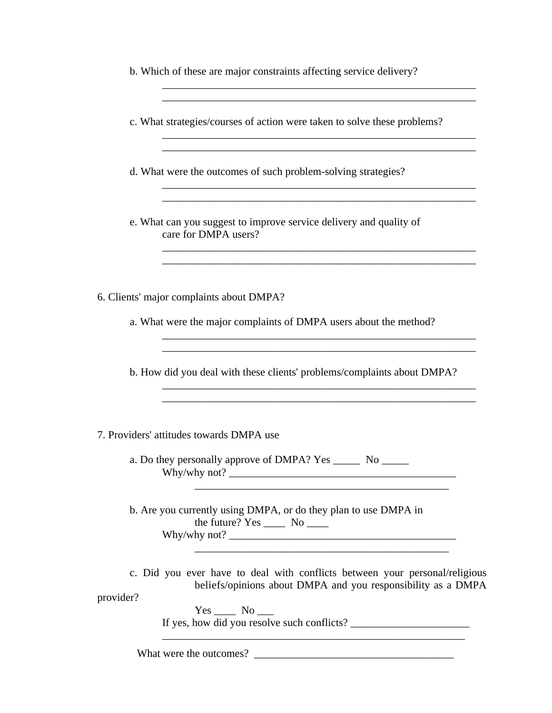|  |  | b. Which of these are major constraints affecting service delivery? |  |  |
|--|--|---------------------------------------------------------------------|--|--|

c. What strategies/courses of action were taken to solve these problems?

\_\_\_\_\_\_\_\_\_\_\_\_\_\_\_\_\_\_\_\_\_\_\_\_\_\_\_\_\_\_\_\_\_\_\_\_\_\_\_\_\_\_\_\_\_\_\_\_\_\_\_\_\_\_\_\_\_\_

\_\_\_\_\_\_\_\_\_\_\_\_\_\_\_\_\_\_\_\_\_\_\_\_\_\_\_\_\_\_\_\_\_\_\_\_\_\_\_\_\_\_\_\_\_\_\_\_\_\_\_\_\_\_\_\_\_\_

\_\_\_\_\_\_\_\_\_\_\_\_\_\_\_\_\_\_\_\_\_\_\_\_\_\_\_\_\_\_\_\_\_\_\_\_\_\_\_\_\_\_\_\_\_\_\_\_\_\_\_\_\_\_\_\_\_\_

\_\_\_\_\_\_\_\_\_\_\_\_\_\_\_\_\_\_\_\_\_\_\_\_\_\_\_\_\_\_\_\_\_\_\_\_\_\_\_\_\_\_\_\_\_\_\_\_\_\_\_\_\_\_\_\_\_\_ \_\_\_\_\_\_\_\_\_\_\_\_\_\_\_\_\_\_\_\_\_\_\_\_\_\_\_\_\_\_\_\_\_\_\_\_\_\_\_\_\_\_\_\_\_\_\_\_\_\_\_\_\_\_\_\_\_\_

\_\_\_\_\_\_\_\_\_\_\_\_\_\_\_\_\_\_\_\_\_\_\_\_\_\_\_\_\_\_\_\_\_\_\_\_\_\_\_\_\_\_\_\_\_\_\_\_\_\_\_\_\_\_\_\_\_\_

\_\_\_\_\_\_\_\_\_\_\_\_\_\_\_\_\_\_\_\_\_\_\_\_\_\_\_\_\_\_\_\_\_\_\_\_\_\_\_\_\_\_\_\_\_\_\_\_\_\_\_\_\_\_\_\_\_\_ \_\_\_\_\_\_\_\_\_\_\_\_\_\_\_\_\_\_\_\_\_\_\_\_\_\_\_\_\_\_\_\_\_\_\_\_\_\_\_\_\_\_\_\_\_\_\_\_\_\_\_\_\_\_\_\_\_\_

\_\_\_\_\_\_\_\_\_\_\_\_\_\_\_\_\_\_\_\_\_\_\_\_\_\_\_\_\_\_\_\_\_\_\_\_\_\_\_\_\_\_\_\_\_\_\_\_\_\_\_\_\_\_\_\_\_\_

\_\_\_\_\_\_\_\_\_\_\_\_\_\_\_\_\_\_\_\_\_\_\_\_\_\_\_\_\_\_\_\_\_\_\_\_\_\_\_\_\_\_\_\_\_\_\_

\_\_\_\_\_\_\_\_\_\_\_\_\_\_\_\_\_\_\_\_\_\_\_\_\_\_\_\_\_\_\_\_\_\_\_\_\_\_\_\_\_\_\_\_\_\_\_

\_\_\_\_\_\_\_\_\_\_\_\_\_\_\_\_\_\_\_\_\_\_\_\_\_\_\_\_\_\_\_\_\_\_\_\_\_\_\_\_\_\_\_\_\_\_\_\_\_\_\_\_\_\_\_\_\_\_

d. What were the outcomes of such problem-solving strategies?

e. What can you suggest to improve service delivery and quality of care for DMPA users?

6. Clients' major complaints about DMPA?

a. What were the major complaints of DMPA users about the method?

b. How did you deal with these clients' problems/complaints about DMPA?

7. Providers' attitudes towards DMPA use

a. Do they personally approve of DMPA? Yes \_\_\_\_\_\_ No \_\_\_\_\_\_ Why/why not?  $\blacksquare$ 

b. Are you currently using DMPA, or do they plan to use DMPA in the future?  $Yes \_\_$  No  $\_\_$ Why/why not? \_\_\_\_\_\_\_\_\_\_\_\_\_\_\_\_\_\_\_\_\_\_\_\_\_\_\_\_\_\_\_\_\_\_\_\_\_\_\_\_\_\_

c. Did you ever have to deal with conflicts between your personal/religious beliefs/opinions about DMPA and you responsibility as a DMPA

provider?

Yes No If yes, how did you resolve such conflicts? \_\_\_\_\_\_\_\_\_\_\_\_\_\_\_\_\_\_\_\_\_\_

What were the outcomes? \_\_\_\_\_\_\_\_\_\_\_\_\_\_\_\_\_\_\_\_\_\_\_\_\_\_\_\_\_\_\_\_\_\_\_\_\_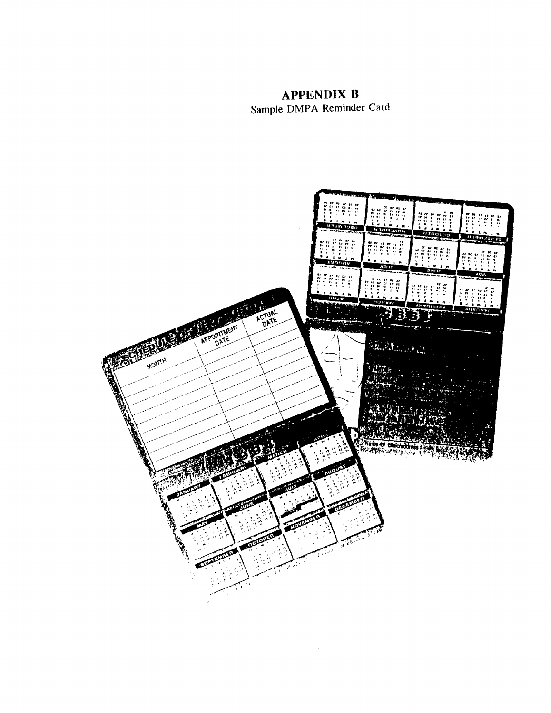**APPENDIX B** Sample DMPA Reminder Card

 $\chi^2 \to \chi^2$